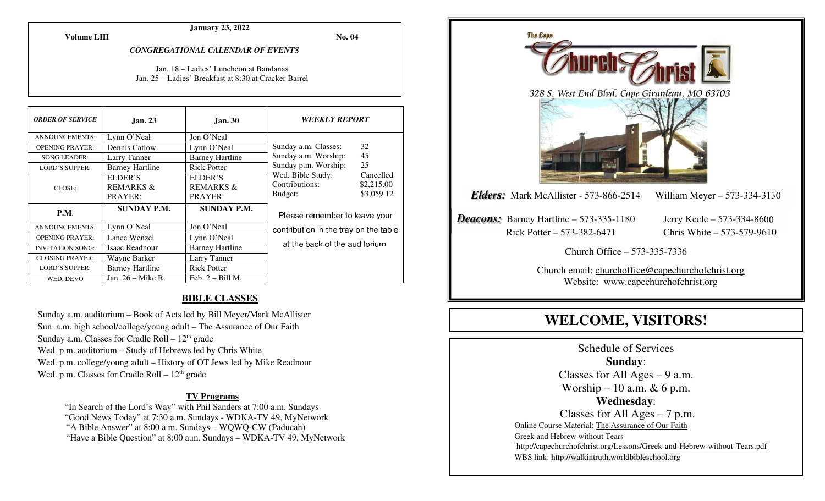**Volume LIII**

#### **January 23, 2022**

**No. 04** 

#### *CONGREGATIONAL CALENDAR OF EVENTS*

#### Jan. 18 – Ladies' Luncheon at Bandanas Jan. 25 – Ladies' Breakfast at 8:30 at Cracker Barrel

| <b>ORDER OF SERVICE</b> | <b>Jan. 23</b>         | <b>Jan. 30</b>         | <i><b>WEEKLY REPORT</b></i>           |            |
|-------------------------|------------------------|------------------------|---------------------------------------|------------|
| <b>ANNOUNCEMENTS:</b>   | Lynn O'Neal            | Jon O'Neal             |                                       |            |
| <b>OPENING PRAYER:</b>  | Dennis Catlow          | Lynn O'Neal            | Sunday a.m. Classes:                  | 32         |
| <b>SONG LEADER:</b>     | Larry Tanner           | <b>Barney Hartline</b> | 45<br>Sunday a.m. Worship:            |            |
| <b>LORD'S SUPPER:</b>   | <b>Barney Hartline</b> | <b>Rick Potter</b>     | Sunday p.m. Worship:                  | 25         |
|                         | ELDER'S                | ELDER'S                | Wed. Bible Study:                     | Cancelled  |
| CLOSE:                  | <b>REMARKS &amp;</b>   | <b>REMARKS &amp;</b>   | Contributions:                        | \$2,215.00 |
|                         | PRAYER:                | PRAYER:                | Budget:                               | \$3,059.12 |
| P.M.                    | <b>SUNDAY P.M.</b>     | <b>SUNDAY P.M.</b>     | Please remember to leave your         |            |
| <b>ANNOUNCEMENTS:</b>   | Lynn O'Neal            | Jon O'Neal             | contribution in the tray on the table |            |
| <b>OPENING PRAYER:</b>  | Lance Wenzel           | Lynn O'Neal            |                                       |            |
| <b>INVITATION SONG:</b> | Isaac Readnour         | <b>Barney Hartline</b> | at the back of the auditorium.        |            |
| <b>CLOSING PRAYER:</b>  | Wayne Barker           | Larry Tanner           |                                       |            |
| <b>LORD'S SUPPER:</b>   | <b>Barney Hartline</b> | <b>Rick Potter</b>     |                                       |            |
| WED. DEVO               | Jan. $26 -$ Mike R.    | Feb. $2 - Bill M$ .    |                                       |            |

#### **BIBLE CLASSES**

Sunday a.m. auditorium – Book of Acts led by Bill Meyer/Mark McAllister Sun. a.m. high school/college/young adult – The Assurance of Our Faith Sunday a.m. Classes for Cradle Roll  $-12<sup>th</sup>$  grade Wed. p.m. auditorium – Study of Hebrews led by Chris White Wed. p.m. college/young adult – History of OT Jews led by Mike Readnour Wed. p.m. Classes for Cradle Roll  $-12<sup>th</sup>$  grade

#### **TV Programs**

 "In Search of the Lord's Way" with Phil Sanders at 7:00 a.m. Sundays "Good News Today" at 7:30 a.m. Sundays - WDKA-TV 49, MyNetwork "A Bible Answer" at 8:00 a.m. Sundays – WQWQ-CW (Paducah) "Have a Bible Question" at 8:00 a.m. Sundays – WDKA-TV 49, MyNetwork



# **WELCOME, VISITORS!**

Schedule of Services **Sunday**: Classes for All Ages  $-9$  a.m. Worship – 10 a.m.  $& 6$  p.m. **Wednesday**: Classes for All Ages – 7 p.m. Online Course Material: The Assurance of Our Faith Greek and Hebrew without Tears http://capechurchofchrist.org/Lessons/Greek-and-Hebrew-without-Tears.pdfWBS link: http://walkintruth.worldbibleschool.org